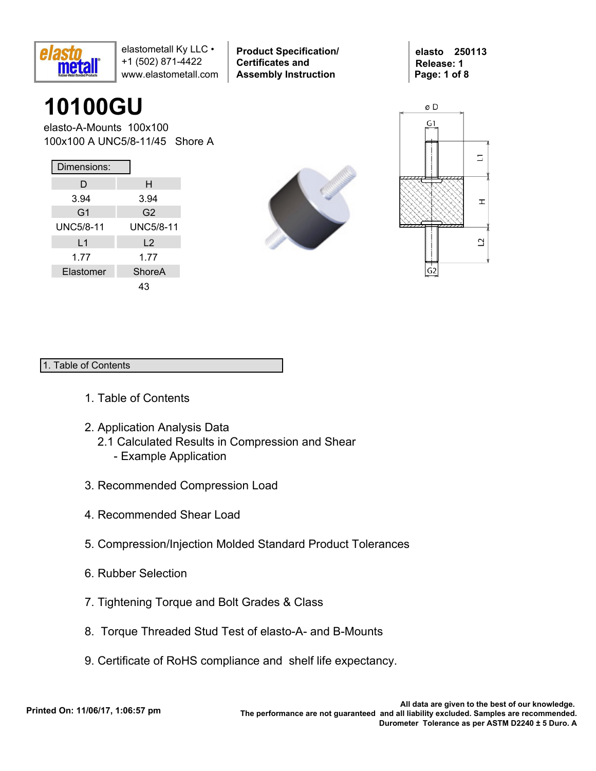

**Product Specification/ Certificates and Assembly Instruction**

**elasto 250113 Release: 1 Page: 1 of 8**

# **10100GU**

elasto-A-Mounts 100x100 100x100 A UNC5/8-11/45 Shore A

| Dimensions:      |                  |
|------------------|------------------|
| D                | н                |
| 3.94             | 3.94             |
| G <sub>1</sub>   | G <sub>2</sub>   |
| <b>UNC5/8-11</b> | <b>UNC5/8-11</b> |
| L1               | L <sub>2</sub>   |
| 1.77             | 1.77             |
| Elastomer        | ShoreA           |
|                  | 43               |





### 1. Table of Contents

- 1. Table of Contents
- 2. Application Analysis Data
	- 2.1 Calculated Results in Compression and Shear
		- Example Application
- 3. Recommended Compression Load
- 4. Recommended Shear Load
- 5. Compression/Injection Molded Standard Product Tolerances
- 6. Rubber Selection
- 7. Tightening Torque and Bolt Grades & Class
- 8. Torque Threaded Stud Test of elasto-A- and B-Mounts
- 9. Certificate of RoHS compliance and shelf life expectancy.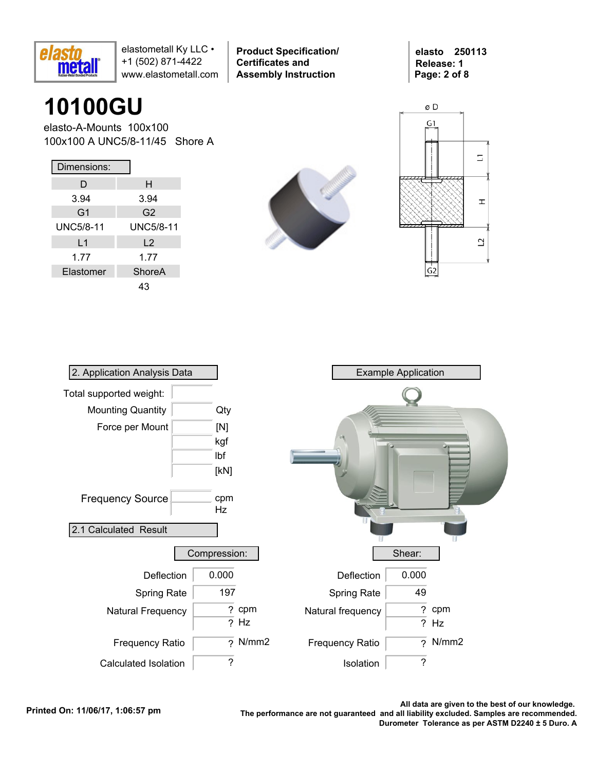

**Product Specification/ Certificates and Assembly Instruction**

**elasto 250113 Release: 1 Page: 2 of 8**

## **10100GU**

elasto-A-Mounts 100x100 100x100 A UNC5/8-11/45 Shore A

| Dimensions:    |                  |
|----------------|------------------|
| D              | н                |
| 3.94           | 3.94             |
| G <sub>1</sub> | G2               |
| UNC5/8-11      | <b>UNC5/8-11</b> |
| L1             | L <sub>2</sub>   |
| 1.77           | 1.77             |
| Elastomer      | ShoreA           |
|                |                  |





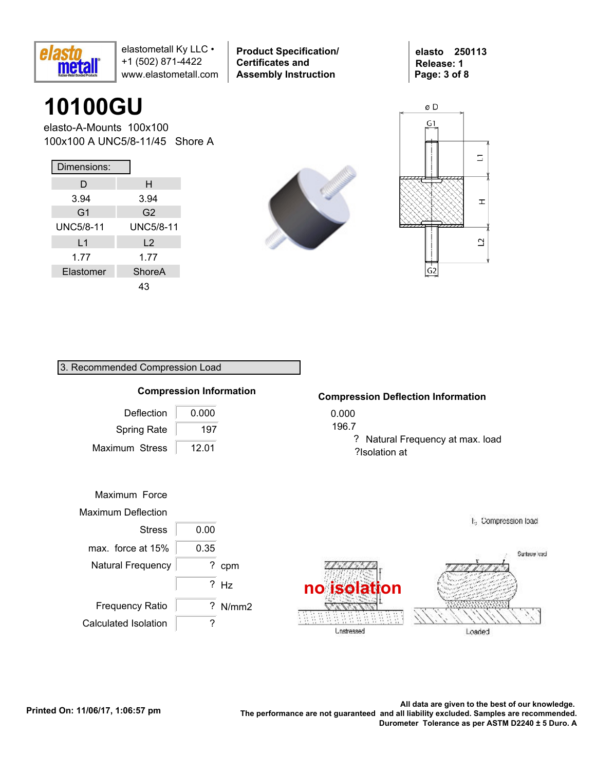

**Product Specification/ Certificates and Assembly Instruction**

**elasto 250113 Release: 1 Page: 3 of 8**

## **10100GU**

elasto-A-Mounts 100x100 100x100 A UNC5/8-11/45 Shore A

| Dimensions:      |                  |
|------------------|------------------|
| D                | н                |
| 3.94             | 3.94             |
| G <sub>1</sub>   | G <sub>2</sub>   |
| <b>UNC5/8-11</b> | <b>UNC5/8-11</b> |
| L1               | L <sub>2</sub>   |
| 1.77             | 1.77             |
| Elastomer        | ShoreA           |
|                  | 43               |





### 3. Recommended Compression Load



#### **Compression Deflection Information**

? Natural Frequency at max. load ?Isolation at

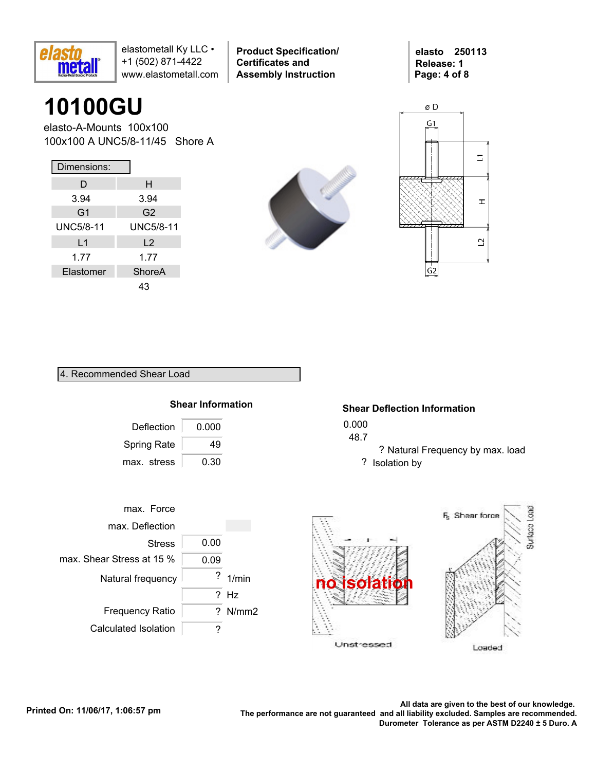

**Product Specification/ Certificates and Assembly Instruction**

**elasto 250113 Release: 1 Page: 4 of 8**

## **10100GU**

elasto-A-Mounts 100x100 100x100 A UNC5/8-11/45 Shore A

| Dimensions:      |                |
|------------------|----------------|
| D                | н              |
| 3.94             | 3.94           |
| G <sub>1</sub>   | G2             |
| <b>UNC5/8-11</b> | UNC5/8-11      |
| L1               | L <sub>2</sub> |
| 1.77             | 1.77           |
| Elastomer        | ShoreA         |
|                  | 43             |





#### 4. Recommended Shear Load



#### **Shear Deflection Information**

- 0.000
- 48.7
	- ? Natural Frequency by max. load ? Isolation by



Loaded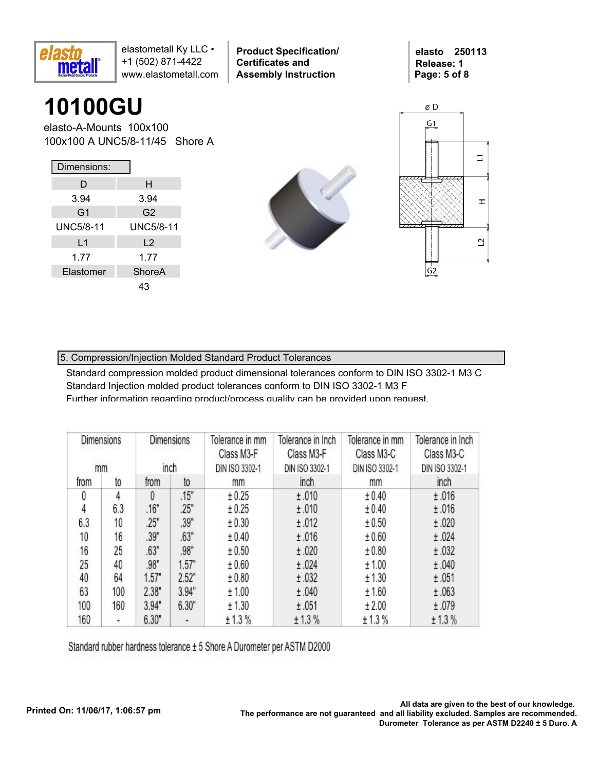

**Product Specification/ Certificates and Assembly Instruction**

**elasto 250113 Release: 1 Page: 5 of 8**

# **10100GU**

elasto-A-Mounts 100x100 100x100 A UNC5/8-11/45 Shore A

| Dimensions:    |                |  |  |  |  |  |
|----------------|----------------|--|--|--|--|--|
| D              | н              |  |  |  |  |  |
| 3.94           | 3.94           |  |  |  |  |  |
| G <sub>1</sub> | G2             |  |  |  |  |  |
| UNC5/8-11      | UNC5/8-11      |  |  |  |  |  |
| L <sub>1</sub> | L <sub>2</sub> |  |  |  |  |  |
| 1.77           | 1.77           |  |  |  |  |  |
| Elastomer      | ShoreA         |  |  |  |  |  |
|                | 43             |  |  |  |  |  |





### 5. Compression/Injection Molded Standard Product Tolerances

Standard compression molded product dimensional tolerances conform to DIN ISO 3302-1 M3 C Standard Injection molded product tolerances conform to DIN ISO 3302-1 M3 F Further information regarding product/process quality can be provided upon request.

| Dimensions<br>mm |     | Dimensions<br>inch | Tolerance in mm<br>Class M3-F<br>DIN ISO 3302-1 | Tolerance in Inch<br>Class M3-F<br>DIN ISO 3302-1 | Tolerance in mm<br>Class M3-C<br>DIN ISO 3302-1 | Tolerance in Inch<br>Class M3-C<br>DIN ISO 3302-1 |        |  |
|------------------|-----|--------------------|-------------------------------------------------|---------------------------------------------------|-------------------------------------------------|---------------------------------------------------|--------|--|
| from             | to  | from               | to                                              | mm                                                | inch                                            | mm                                                | inch   |  |
| 0                | 4   | $\theta$           | .15"                                            | ± 0.25                                            | ±.010                                           | ± 0.40                                            | ±.016  |  |
| 4                | 6.3 | .16"               | .25"                                            | ± 0.25                                            | ±.010                                           | ± 0.40                                            | ±.016  |  |
| 6.3              | 10  | .25"               | .39"                                            | ± 0.30                                            | ±.012                                           | ± 0.50                                            | ±.020  |  |
| 10               | 16  | .39"               | .63"                                            | ± 0.40                                            | ±.016                                           | ± 0.60                                            | ±.024  |  |
| 16               | 25  | .63"               | .98"                                            | ± 0.50                                            | ±.020                                           | ± 0.80                                            | ±.032  |  |
| 25               | 40  | .98"               | 1.57"                                           | ± 0.60                                            | ±.024                                           | ± 1.00                                            | ±.040  |  |
| 40               | 64  | 1.57"              | 2.52"                                           | ± 0.80                                            | ±.032                                           | ± 1.30                                            | ±.051  |  |
| 63               | 100 | 2.38"              | 3.94"                                           | ±1.00                                             | ±.040                                           | ± 1.60                                            | ±.063  |  |
| 100              | 160 | 3.94"              | 6.30"                                           | ± 1.30                                            | ±.051                                           | ±2.00                                             | ±.079  |  |
| 160              | ٠   | 6.30"              | ٠                                               | ± 1.3%                                            | ± 1.3%                                          | ± 1.3%                                            | ± 1.3% |  |

Standard rubber hardness tolerance ± 5 Shore A Durometer per ASTM D2000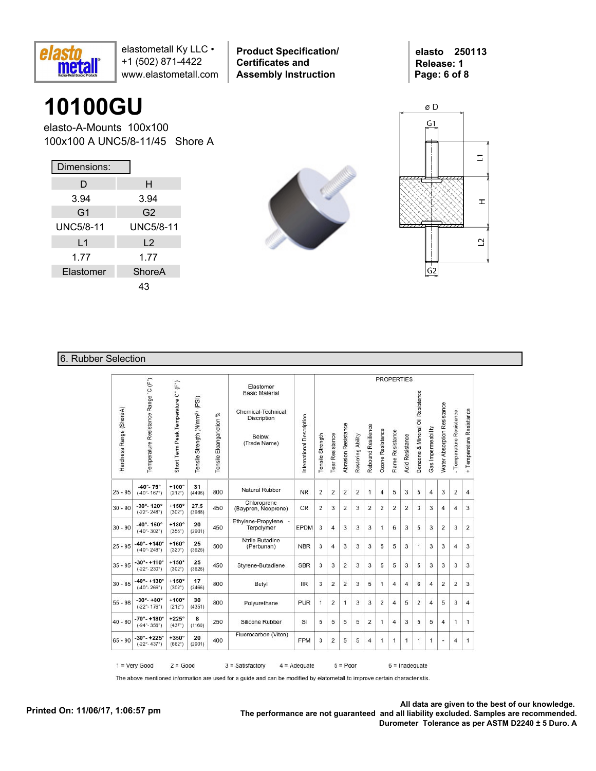

**Product Specification/ Certificates and Assembly Instruction**

**elasto 250113 Release: 1 Page: 6 of 8**

### **10100GU**

elasto-A-Mounts 100x100 100x100 A UNC5/8-11/45 Shore A

| Dimensions:      |                |
|------------------|----------------|
| D                | н              |
| 3.94             | 3.94           |
| G <sub>1</sub>   | G2             |
| <b>UNC5/8-11</b> | UNC5/8-11      |
| L1               | L <sub>2</sub> |
| 1.77             | 1.77           |
| Elastomer        | <b>ShoreA</b>  |
|                  | 43             |





#### 6. Rubber Selection

|                         |                                                               |                                     |                                            |                          |                                                                                                   |                           |                  |                 |                            |                   |                    | <b>PROPERTIES</b> |                  |                 |                                  |                    |                             |                          |                          |  |  |  |  |
|-------------------------|---------------------------------------------------------------|-------------------------------------|--------------------------------------------|--------------------------|---------------------------------------------------------------------------------------------------|---------------------------|------------------|-----------------|----------------------------|-------------------|--------------------|-------------------|------------------|-----------------|----------------------------------|--------------------|-----------------------------|--------------------------|--------------------------|--|--|--|--|
| Hardness Range (ShoreA) | Temperature Resistance Range 'C (F")                          | Short Term Peak Temperature C° (F°) | Tensile Strength (N/mm <sup>2)</sup> (PSI) | Tensile Eloangariotion % | Elastomer<br><b>Basic Material</b><br>Chemical-Technical<br>Discription<br>Below:<br>(Trade Name) | International Description | Tensile Strength | Tear Resistance | <b>Abrasion Resistance</b> | Restoring Ability | Rebound Resilience | Ozone Resistance  | Flame Resistance | Acid Resistance | Benzene & Mineral Oil Resistance | Gas Impermeability | Water Absorption Resistance | - Temperature Resistance | + Temperature Resistance |  |  |  |  |
| $25 - 95$               | $-40^{\circ} - 75^{\circ}$<br>$(-40^{\circ} - 167^{\circ})$   | $+100^\circ$<br>$(212^{\circ})$     | 31<br>(4496)                               | 800                      | Natural Rubber                                                                                    | <b>NR</b>                 | 2                | $\overline{2}$  | $\overline{2}$             | 2                 | $\mathbf{1}$       | $\overline{4}$    | 5                | 3               | 5                                | $\overline{4}$     | 3                           | $\overline{2}$           | $\overline{4}$           |  |  |  |  |
| $30 - 90$               | $-30^\circ - 120^\circ$<br>$(-22^{\circ} - 248^{\circ})$      | $+150^\circ$<br>$(302^{\circ})$     | 27.5<br>(3988)                             | 450                      | Chloroprene<br>(Baypren, Neoprene)                                                                | <b>CR</b>                 | 2                | 3               | 2                          | 3                 | $\overline{2}$     | 2                 | $\overline{2}$   | 2               | 3                                | 3                  | 4                           | $\overline{4}$           | 3                        |  |  |  |  |
| $30 - 90$               | $-40^{\circ} - 150^{\circ}$<br>$(-40^{\circ} - 302^{\circ})$  | $+180^\circ$<br>(356°)              | 20<br>(2901)                               | 450                      | Ethylene-Propylene -<br>Terpolymer                                                                | EPDM                      | 3                | 4               | 3                          | 3                 | 3                  | 1                 | 6                | 3               | 5                                | 3                  | $\overline{2}$              | 3                        | $\overline{2}$           |  |  |  |  |
| $25 - 95$               | $-40^{\circ} - +140^{\circ}$<br>$(-40° - 248°)$               | $+160^\circ$<br>(320°)              | 25<br>(3626)                               | 500                      | <b>Ntrile Butadine</b><br>(Perbunan)                                                              | <b>NBR</b>                | 3                | 4               | 3                          | 3                 | 3                  | 5                 | 5                | 3               | 1                                | 3                  | 3                           | 4                        | 3                        |  |  |  |  |
| $35 - 95$               | $-30^{\circ} - +110^{\circ}$<br>$(-22^\circ - 230^\circ)$     | $+150^\circ$<br>$(302^{\circ})$     | 25<br>(3626)                               | 450                      | Styrene-Butadiene                                                                                 | <b>SBR</b>                | 3                | 3               | 2                          | 3                 | 3                  | 5                 | 5                | 3               | 5                                | 3                  | 3                           | 3                        | 3                        |  |  |  |  |
| $30 - 85$               | $-40^{\circ} - +130^{\circ}$<br>$(-40^\circ - 266^\circ)$     | $+150^\circ$<br>$(302^{\circ})$     | 17<br>(2466)                               | 800                      | Butyl                                                                                             | <b>IIR</b>                | 3                | 2               | 2                          | 3                 | 5                  | 1                 | 4                | $\overline{4}$  | 6                                | 4                  | 2                           | 2                        | 3                        |  |  |  |  |
| $55 - 98$               | $-30^{\circ} - +80^{\circ}$<br>$(-22^{\circ} - 176^{\circ})$  | $+100^\circ$<br>$(212^{\circ})$     | 30<br>(4351)                               | 800                      | Polyurethane                                                                                      | <b>PUR</b>                | 1                | $\overline{2}$  | 1                          | 3                 | 3                  | $\overline{2}$    | $\overline{4}$   | 5               | 2                                | 4                  | 5                           | 3                        | $\overline{4}$           |  |  |  |  |
| $40 - 80$               | $-70^{\circ} - +180^{\circ}$<br>$(-94^{\circ} - 356^{\circ})$ | $+225^\circ$<br>(437°)              | 8<br>(1160)                                | 250                      | Silicone Rubber                                                                                   | SI                        | 5                | 5               | 5                          | 5                 | 2                  | 1                 | 4                | 3               | 5                                | 5                  | 4                           | 1                        | 1                        |  |  |  |  |
| $65 - 90$               | $-30^{\circ} - +225^{\circ}$<br>$(-22^{\circ} - 437^{\circ})$ | $+350^\circ$<br>(662°)              | 20<br>(2901)                               | 400                      | Fluorocarbon (Viton)                                                                              | <b>FPM</b>                | 3                | $\overline{2}$  | 5                          | 5                 | 4                  | 1                 | 1                | 1               | 1                                | 1                  | u,                          | 4                        | 1                        |  |  |  |  |

The above mentioned information are used for a guide and can be modified by elatometall to improve certain characteristis.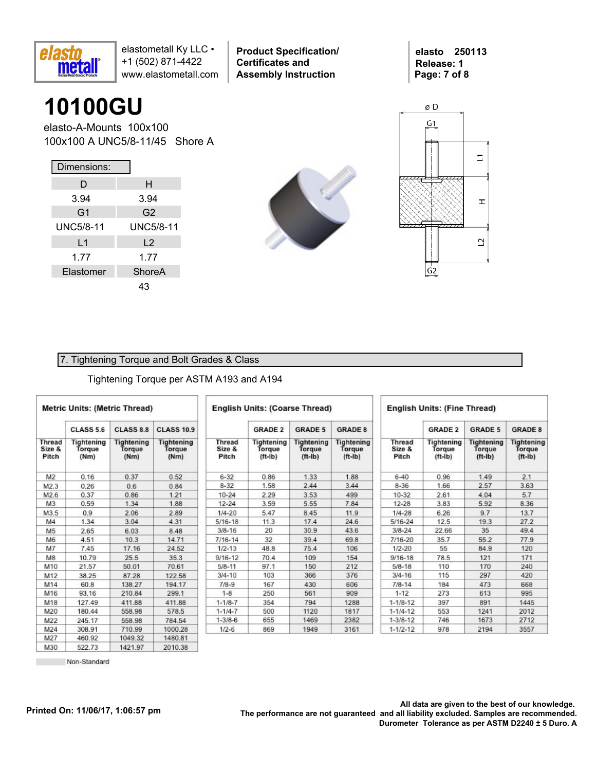

**Product Specification/ Certificates and Assembly Instruction**

**elasto 250113 Release: 1 Page: 7 of 8**

## **10100GU**

elasto-A-Mounts 100x100 100x100 A UNC5/8-11/45 Shore A

| Dimensions:      |                  |
|------------------|------------------|
| D                | н                |
| 3.94             | 3.94             |
| G <sub>1</sub>   | G <sub>2</sub>   |
| <b>UNC5/8-11</b> | <b>UNC5/8-11</b> |
| L1               | L <sub>2</sub>   |
| 1.77             | 1.77             |
| Elastomer        | ShoreA           |
|                  | 43               |





#### 7. Tightening Torque and Bolt Grades & Class

#### Tightening Torque per ASTM A193 and A194

|                           | <b>Metric Units: (Metric Thread)</b> |                                     |                                     | <b>English Units: (Coarse Thread)</b> |                                   |                                                 |                                          |                                  | <b>English Units: (Fine Thread)</b> |                                          |                                          |  |  |  |
|---------------------------|--------------------------------------|-------------------------------------|-------------------------------------|---------------------------------------|-----------------------------------|-------------------------------------------------|------------------------------------------|----------------------------------|-------------------------------------|------------------------------------------|------------------------------------------|--|--|--|
|                           | <b>CLASS 5.6</b>                     | <b>CLASS 8.8</b>                    | <b>CLASS 10.9</b>                   |                                       | <b>GRADE 2</b>                    | <b>GRADE 5</b>                                  | <b>GRADE 8</b>                           |                                  | <b>GRADE 2</b>                      | <b>GRADE 5</b>                           | <b>GRADE 8</b>                           |  |  |  |
| Thread<br>Size &<br>Pitch | Tightening<br>Torque<br>(Nm)         | <b>Tightening</b><br>Torgue<br>(Nm) | <b>Tightening</b><br>Torque<br>(Nm) | <b>Thread</b><br>Size &<br>Pitch      | Tightening<br>Torque<br>$(ft-lb)$ | <b>Tightening</b><br><b>Torque</b><br>$(ft-lb)$ | <b>Tightening</b><br>Torque<br>$(ft-lb)$ | <b>Thread</b><br>Size &<br>Pitch | Tightening<br>Torque<br>$(ft-lb)$   | <b>Tightening</b><br>Torque<br>$(ft-lb)$ | <b>Tightening</b><br>Torque<br>$(ft-lb)$ |  |  |  |
| M <sub>2</sub>            | 0.16                                 | 0.37                                | 0.52                                | $6 - 32$                              | 0.86                              | 1.33                                            | 1.88                                     | $6 - 40$                         | 0.96                                | 1.49                                     | 2.1                                      |  |  |  |
| M2.3                      | 0.26                                 | 0.6                                 | 0.84                                | $8 - 32$                              | 1.58                              | 2.44                                            | 3.44                                     | $8 - 36$                         | 1.66                                | 2.57                                     | 3.63                                     |  |  |  |
| M2.6                      | 0.37                                 | 0.86                                | 1.21                                | $10 - 24$                             | 2.29                              | 3.53                                            | 499                                      | 10-32                            | 2.61                                | 4.04                                     | 5.7                                      |  |  |  |
| M <sub>3</sub>            | 0.59                                 | 1.34                                | 1.88                                | $12 - 24$                             | 3.59                              | 5.55                                            | 7.84                                     | $12 - 28$                        | 3.83                                | 5.92                                     | 8.36                                     |  |  |  |
| M3.5                      | 0.9                                  | 2.06                                | 2.89                                | $1/4 - 20$                            | 5.47                              | 8.45                                            | 11.9                                     | $1/4 - 28$                       | 6.26                                | 9.7                                      | 13.7                                     |  |  |  |
| M4                        | 1.34                                 | 3.04                                | 4.31                                | $5/16 - 18$                           | 11.3                              | 17.4                                            | 24.6                                     | 5/16-24                          | 12.5                                | 19.3                                     | 27.2                                     |  |  |  |
| M <sub>5</sub>            | 2.65                                 | 6.03                                | 8.48                                | $3/8 - 16$                            | 20                                | 30.9                                            | 43.6                                     | $3/8 - 24$                       | 22.66                               | 35                                       | 49.4                                     |  |  |  |
| M6                        | 4.51                                 | 10.3                                | 14.71                               | $7/16 - 14$                           | 32                                | 39.4                                            | 69.8                                     | 7/16-20                          | 35.7                                | 55.2                                     | 77.9                                     |  |  |  |
| M7                        | 7.45                                 | 17.16                               | 24.52                               | $1/2 - 13$                            | 48.8                              | 75.4                                            | 106                                      | $1/2 - 20$                       | 55                                  | 84.9                                     | 120                                      |  |  |  |
| M8                        | 10.79                                | 25.5                                | 35.3                                | $9/16 - 12$                           | 70.4                              | 109                                             | 154                                      | $9/16 - 18$                      | 78.5                                | 121                                      | 171                                      |  |  |  |
| M10                       | 21.57                                | 50.01                               | 70.61                               | $5/8 - 11$                            | 97.1                              | 150                                             | 212                                      | $5/8 - 18$                       | 110                                 | 170                                      | 240                                      |  |  |  |
| M12                       | 38.25                                | 87.28                               | 122.58                              | $3/4 - 10$                            | 103                               | 366                                             | 376                                      | $3/4 - 16$                       | 115                                 | 297                                      | 420                                      |  |  |  |
| M14                       | 60.8                                 | 138.27                              | 194.17                              | $7/8-9$                               | 167                               | 430                                             | 606                                      | $7/8 - 14$                       | 184                                 | 473                                      | 668                                      |  |  |  |
| M16                       | 93.16                                | 210.84                              | 299.1                               | $1 - 8$                               | 250                               | 561                                             | 909                                      | $1 - 12$                         | 273                                 | 613                                      | 995                                      |  |  |  |
| M18                       | 127.49                               | 411.88                              | 411.88                              | $1 - 1/8 - 7$                         | 354                               | 794                                             | 1288                                     | $1 - 1/8 - 12$                   | 397                                 | 891                                      | 1445                                     |  |  |  |
| M20                       | 180.44                               | 558.98                              | 578.5                               | $1 - 1/4 - 7$                         | 500                               | 1120                                            | 1817                                     | $1 - 1/4 - 12$                   | 553                                 | 1241                                     | 2012                                     |  |  |  |
| M22                       | 245.17                               | 558.98                              | 784.54                              | $1 - 3/8 - 6$                         | 655                               | 1469                                            | 2382                                     | $1 - 3/8 - 12$                   | 746                                 | 1673                                     | 2712                                     |  |  |  |
| M24                       | 308.91                               | 710.99                              | 1000.28                             | $1/2 - 6$                             | 869                               | 1949                                            | 3161                                     | $1 - 1/2 - 12$                   | 978                                 | 2194                                     | 3557                                     |  |  |  |
| M27                       | 460.92                               | 104932                              | 1480.81                             |                                       |                                   |                                                 |                                          |                                  |                                     |                                          |                                          |  |  |  |

522.73 Non-Standard 1421.97

2010.38

M30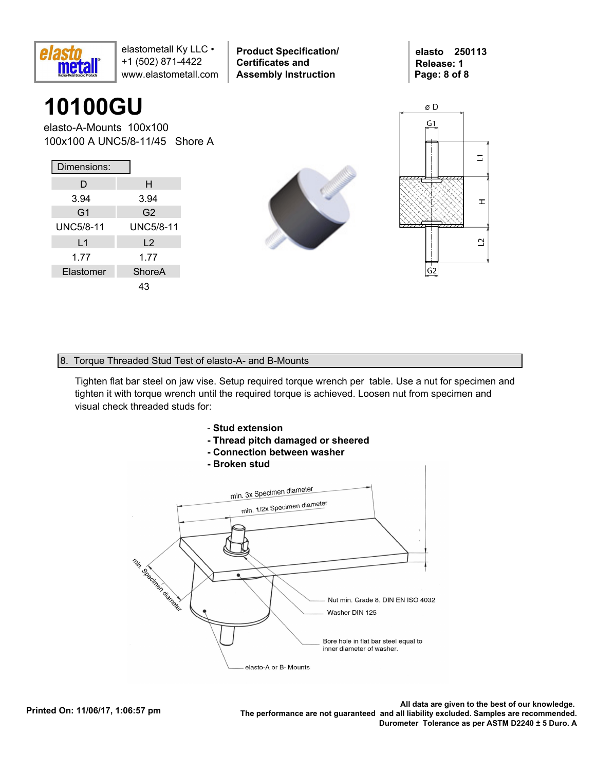

**Product Specification/ Certificates and Assembly Instruction**

**elasto 250113 Release: 1 Page: 8 of 8**

## **10100GU**

elasto-A-Mounts 100x100 100x100 A UNC5/8-11/45 Shore A

| Dimensions:      |                  |
|------------------|------------------|
| D                | н                |
| 3.94             | 3.94             |
| G <sub>1</sub>   | G <sub>2</sub>   |
| <b>UNC5/8-11</b> | <b>UNC5/8-11</b> |
| L1               | L <sub>2</sub>   |
| 1.77             | 1.77             |
| Elastomer        | ShoreA           |
|                  | 43               |





#### 8. Torque Threaded Stud Test of elasto-A- and B-Mounts

Tighten flat bar steel on jaw vise. Setup required torque wrench per table. Use a nut for specimen and tighten it with torque wrench until the required torque is achieved. Loosen nut from specimen and visual check threaded studs for:



- **Thread pitch damaged or sheered**
- **Connection between washer**
- **Broken stud**